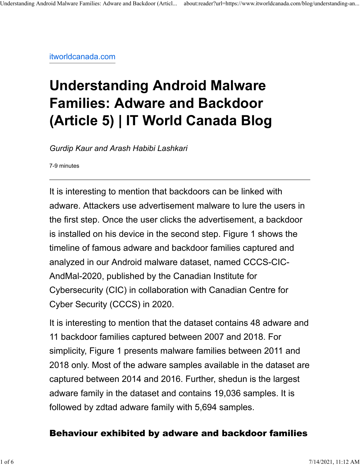itworldcanada.com

# **Understanding Android Malware Families: Adware and Backdoor (Article 5) | IT World Canada Blog**

*Gurdip Kaur and Arash Habibi Lashkari*

7-9 minutes

It is interesting to mention that backdoors can be linked with adware. Attackers use advertisement malware to lure the users in the first step. Once the user clicks the advertisement, a backdoor is installed on his device in the second step. Figure 1 shows the timeline of famous adware and backdoor families captured and analyzed in our Android malware dataset, named CCCS-CIC-AndMal-2020, published by the Canadian Institute for Cybersecurity (CIC) in collaboration with Canadian Centre for Cyber Security (CCCS) in 2020.

It is interesting to mention that the dataset contains 48 adware and 11 backdoor families captured between 2007 and 2018. For simplicity, Figure 1 presents malware families between 2011 and 2018 only. Most of the adware samples available in the dataset are captured between 2014 and 2016. Further, shedun is the largest adware family in the dataset and contains 19,036 samples. It is followed by zdtad adware family with 5,694 samples.

## Behaviour exhibited by adware and backdoor families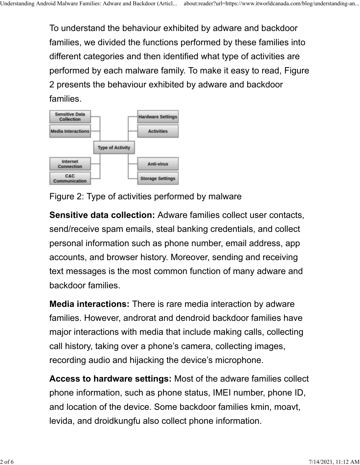To understand the behaviour exhibited by adware and backdoor families, we divided the functions performed by these families into different categories and then identified what type of activities are performed by each malware family. To make it easy to read, Figure 2 presents the behaviour exhibited by adware and backdoor families.



Figure 2: Type of activities performed by malware

**Sensitive data collection:** Adware families collect user contacts, send/receive spam emails, steal banking credentials, and collect personal information such as phone number, email address, app accounts, and browser history. Moreover, sending and receiving text messages is the most common function of many adware and backdoor families.

**Media interactions:** There is rare media interaction by adware families. However, androrat and dendroid backdoor families have major interactions with media that include making calls, collecting call history, taking over a phone's camera, collecting images, recording audio and hijacking the device's microphone.

**Access to hardware settings:** Most of the adware families collect phone information, such as phone status, IMEI number, phone ID, and location of the device. Some backdoor families kmin, moavt, levida, and droidkungfu also collect phone information.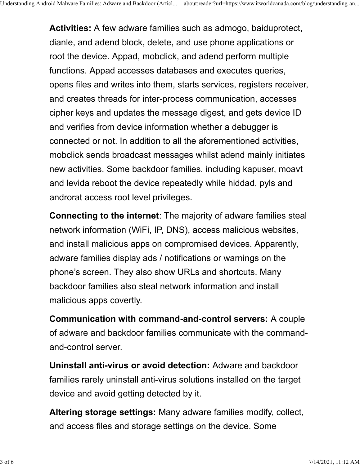**Activities:** A few adware families such as admogo, baiduprotect, dianle, and adend block, delete, and use phone applications or root the device. Appad, mobclick, and adend perform multiple functions. Appad accesses databases and executes queries, opens files and writes into them, starts services, registers receiver, and creates threads for inter-process communication, accesses cipher keys and updates the message digest, and gets device ID and verifies from device information whether a debugger is connected or not. In addition to all the aforementioned activities, mobclick sends broadcast messages whilst adend mainly initiates new activities. Some backdoor families, including kapuser, moavt and levida reboot the device repeatedly while hiddad, pyls and androrat access root level privileges.

**Connecting to the internet**: The majority of adware families steal network information (WiFi, IP, DNS), access malicious websites, and install malicious apps on compromised devices. Apparently, adware families display ads / notifications or warnings on the phone's screen. They also show URLs and shortcuts. Many backdoor families also steal network information and install malicious apps covertly.

**Communication with command-and-control servers:** A couple of adware and backdoor families communicate with the commandand-control server.

**Uninstall anti-virus or avoid detection:** Adware and backdoor families rarely uninstall anti-virus solutions installed on the target device and avoid getting detected by it.

**Altering storage settings:** Many adware families modify, collect, and access files and storage settings on the device. Some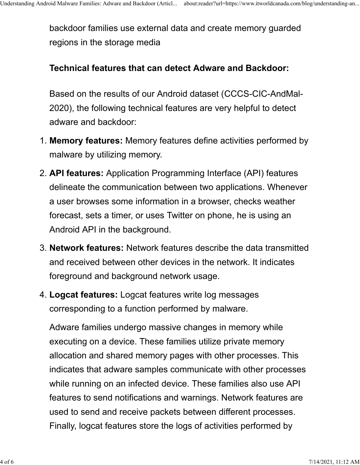backdoor families use external data and create memory guarded regions in the storage media

### **Technical features that can detect Adware and Backdoor:**

Based on the results of our Android dataset (CCCS-CIC-AndMal-2020), the following technical features are very helpful to detect adware and backdoor:

- 1. **Memory features:** Memory features define activities performed by malware by utilizing memory.
- 2. **API features:** Application Programming Interface (API) features delineate the communication between two applications. Whenever a user browses some information in a browser, checks weather forecast, sets a timer, or uses Twitter on phone, he is using an Android API in the background.
- 3. **Network features:** Network features describe the data transmitted and received between other devices in the network. It indicates foreground and background network usage.
- 4. **Logcat features:** Logcat features write log messages corresponding to a function performed by malware.

Adware families undergo massive changes in memory while executing on a device. These families utilize private memory allocation and shared memory pages with other processes. This indicates that adware samples communicate with other processes while running on an infected device. These families also use API features to send notifications and warnings. Network features are used to send and receive packets between different processes. Finally, logcat features store the logs of activities performed by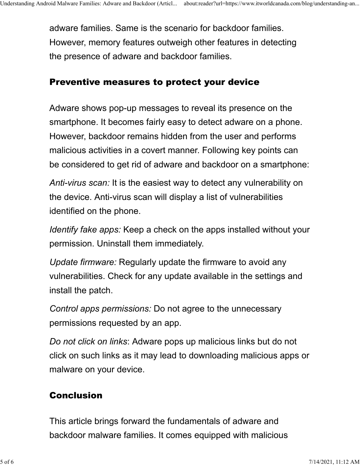adware families. Same is the scenario for backdoor families. However, memory features outweigh other features in detecting the presence of adware and backdoor families.

#### Preventive measures to protect your device

Adware shows pop-up messages to reveal its presence on the smartphone. It becomes fairly easy to detect adware on a phone. However, backdoor remains hidden from the user and performs malicious activities in a covert manner. Following key points can be considered to get rid of adware and backdoor on a smartphone:

*Anti-virus scan:* It is the easiest way to detect any vulnerability on the device. Anti-virus scan will display a list of vulnerabilities identified on the phone.

*Identify fake apps:* Keep a check on the apps installed without your permission. Uninstall them immediately.

*Update firmware:* Regularly update the firmware to avoid any vulnerabilities. Check for any update available in the settings and install the patch.

*Control apps permissions:* Do not agree to the unnecessary permissions requested by an app.

*Do not click on links*: Adware pops up malicious links but do not click on such links as it may lead to downloading malicious apps or malware on your device.

## Conclusion

This article brings forward the fundamentals of adware and backdoor malware families. It comes equipped with malicious